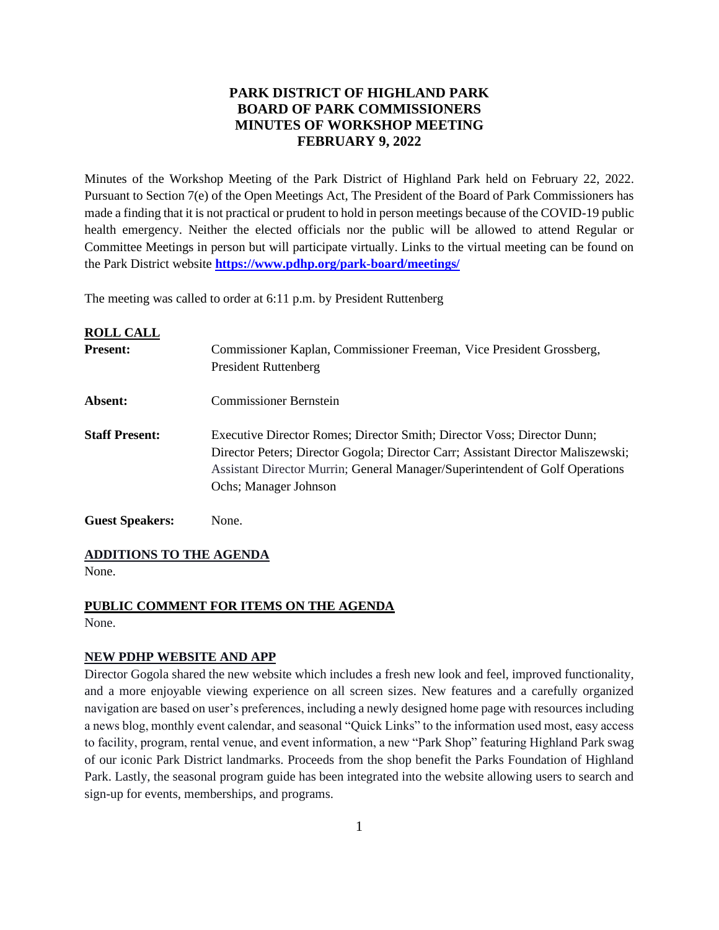## **PARK DISTRICT OF HIGHLAND PARK BOARD OF PARK COMMISSIONERS MINUTES OF WORKSHOP MEETING FEBRUARY 9, 2022**

Minutes of the Workshop Meeting of the Park District of Highland Park held on February 22, 2022. Pursuant to Section 7(e) of the Open Meetings Act, The President of the Board of Park Commissioners has made a finding that it is not practical or prudent to hold in person meetings because of the COVID-19 public health emergency. Neither the elected officials nor the public will be allowed to attend Regular or Committee Meetings in person but will participate virtually. Links to the virtual meeting can be found on the Park District website **<https://www.pdhp.org/park-board/meetings/>**

The meeting was called to order at 6:11 p.m. by President Ruttenberg

| <b>ROLL CALL</b>       |                                                                                                                                                                                                                                                                      |
|------------------------|----------------------------------------------------------------------------------------------------------------------------------------------------------------------------------------------------------------------------------------------------------------------|
| <b>Present:</b>        | Commissioner Kaplan, Commissioner Freeman, Vice President Grossberg,                                                                                                                                                                                                 |
|                        | <b>President Ruttenberg</b>                                                                                                                                                                                                                                          |
| Absent:                | Commissioner Bernstein                                                                                                                                                                                                                                               |
| <b>Staff Present:</b>  | Executive Director Romes; Director Smith; Director Voss; Director Dunn;<br>Director Peters; Director Gogola; Director Carr; Assistant Director Maliszewski;<br>Assistant Director Murrin; General Manager/Superintendent of Golf Operations<br>Ochs; Manager Johnson |
| <b>Guest Speakers:</b> | None.                                                                                                                                                                                                                                                                |

#### **ADDITIONS TO THE AGENDA**

None.

## **PUBLIC COMMENT FOR ITEMS ON THE AGENDA**

None.

#### **NEW PDHP WEBSITE AND APP**

Director Gogola shared the new website which includes a fresh new look and feel, improved functionality, and a more enjoyable viewing experience on all screen sizes. New features and a carefully organized navigation are based on user's preferences, including a newly designed home page with resources including a news blog, monthly event calendar, and seasonal "Quick Links" to the information used most, easy access to facility, program, rental venue, and event information, a new "Park Shop" featuring Highland Park swag of our iconic Park District landmarks. Proceeds from the shop benefit the Parks Foundation of Highland Park. Lastly, the seasonal program guide has been integrated into the website allowing users to search and sign-up for events, memberships, and programs.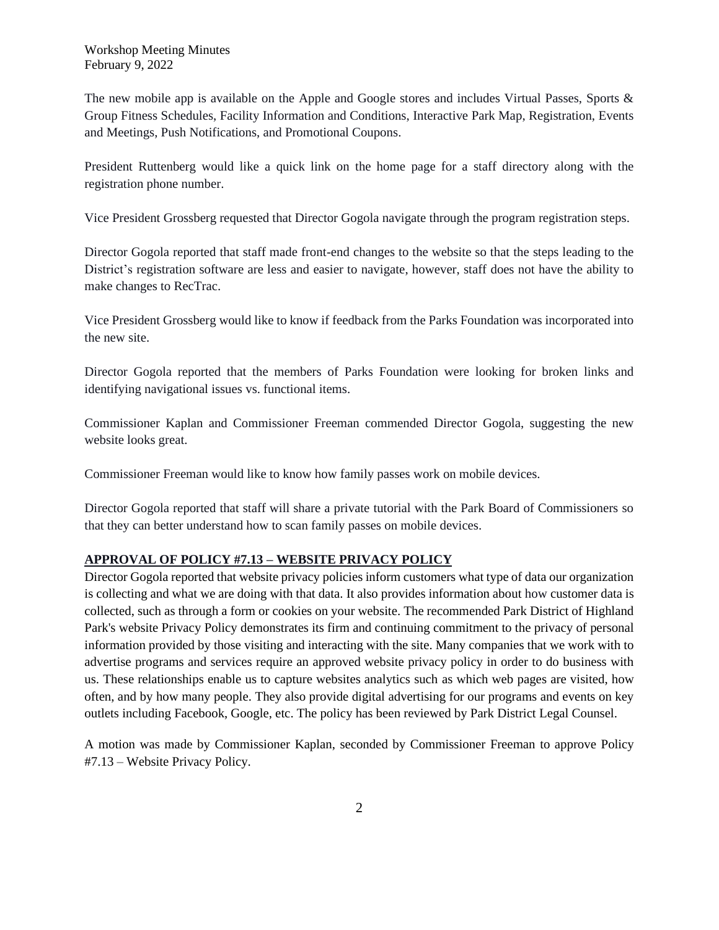Workshop Meeting Minutes February 9, 2022

The new mobile app is available on the Apple and Google stores and includes Virtual Passes, Sports & Group Fitness Schedules, Facility Information and Conditions, Interactive Park Map, Registration, Events and Meetings, Push Notifications, and Promotional Coupons.

President Ruttenberg would like a quick link on the home page for a staff directory along with the registration phone number.

Vice President Grossberg requested that Director Gogola navigate through the program registration steps.

Director Gogola reported that staff made front-end changes to the website so that the steps leading to the District's registration software are less and easier to navigate, however, staff does not have the ability to make changes to RecTrac.

Vice President Grossberg would like to know if feedback from the Parks Foundation was incorporated into the new site.

Director Gogola reported that the members of Parks Foundation were looking for broken links and identifying navigational issues vs. functional items.

Commissioner Kaplan and Commissioner Freeman commended Director Gogola, suggesting the new website looks great.

Commissioner Freeman would like to know how family passes work on mobile devices.

Director Gogola reported that staff will share a private tutorial with the Park Board of Commissioners so that they can better understand how to scan family passes on mobile devices.

## **APPROVAL OF POLICY #7.13 – WEBSITE PRIVACY POLICY**

Director Gogola reported that website privacy policies inform customers what type of data our organization is collecting and what we are doing with that data. It also provides information about how customer data is collected, such as through a form or cookies on your website. The recommended Park District of Highland Park's website Privacy Policy demonstrates its firm and continuing commitment to the privacy of personal information provided by those visiting and interacting with the site. Many companies that we work with to advertise programs and services require an approved website privacy policy in order to do business with us. These relationships enable us to capture websites analytics such as which web pages are visited, how often, and by how many people. They also provide digital advertising for our programs and events on key outlets including Facebook, Google, etc. The policy has been reviewed by Park District Legal Counsel.

A motion was made by Commissioner Kaplan, seconded by Commissioner Freeman to approve Policy #7.13 – Website Privacy Policy.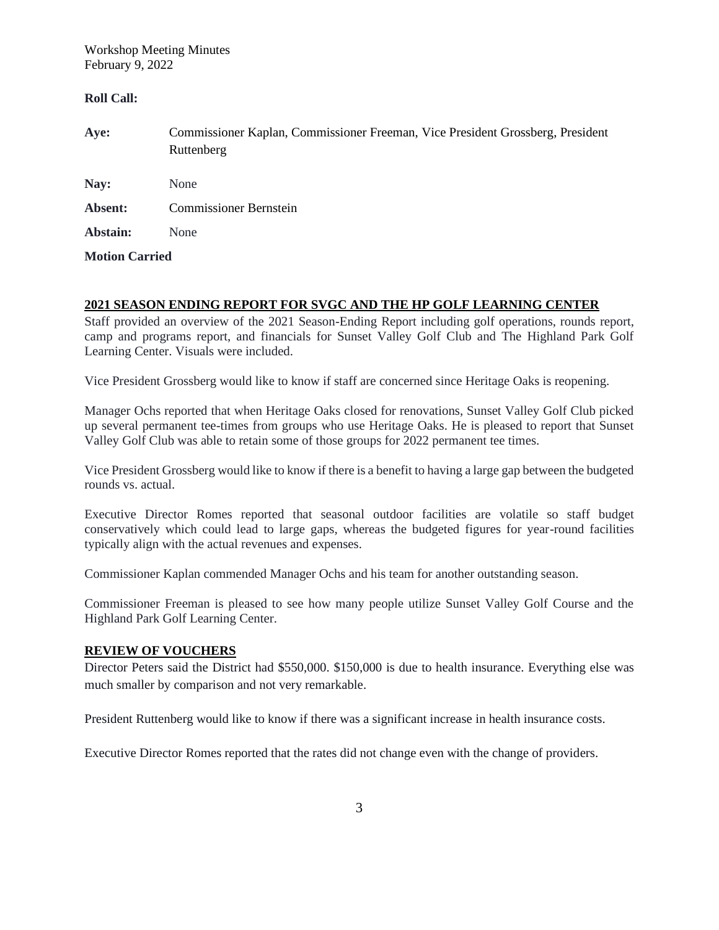Workshop Meeting Minutes February 9, 2022

#### **Roll Call:**

| Aye:                  | Commissioner Kaplan, Commissioner Freeman, Vice President Grossberg, President<br>Ruttenberg |
|-----------------------|----------------------------------------------------------------------------------------------|
| Nay:                  | None                                                                                         |
| Absent:               | <b>Commissioner Bernstein</b>                                                                |
| Abstain:              | None                                                                                         |
| <b>Motion Carried</b> |                                                                                              |

## **2021 SEASON ENDING REPORT FOR SVGC AND THE HP GOLF LEARNING CENTER**

Staff provided an overview of the 2021 Season-Ending Report including golf operations, rounds report, camp and programs report, and financials for Sunset Valley Golf Club and The Highland Park Golf Learning Center. Visuals were included.

Vice President Grossberg would like to know if staff are concerned since Heritage Oaks is reopening.

Manager Ochs reported that when Heritage Oaks closed for renovations, Sunset Valley Golf Club picked up several permanent tee-times from groups who use Heritage Oaks. He is pleased to report that Sunset Valley Golf Club was able to retain some of those groups for 2022 permanent tee times.

Vice President Grossberg would like to know if there is a benefit to having a large gap between the budgeted rounds vs. actual.

Executive Director Romes reported that seasonal outdoor facilities are volatile so staff budget conservatively which could lead to large gaps, whereas the budgeted figures for year-round facilities typically align with the actual revenues and expenses.

Commissioner Kaplan commended Manager Ochs and his team for another outstanding season.

Commissioner Freeman is pleased to see how many people utilize Sunset Valley Golf Course and the Highland Park Golf Learning Center.

#### **REVIEW OF VOUCHERS**

Director Peters said the District had \$550,000. \$150,000 is due to health insurance. Everything else was much smaller by comparison and not very remarkable.

President Ruttenberg would like to know if there was a significant increase in health insurance costs.

Executive Director Romes reported that the rates did not change even with the change of providers.